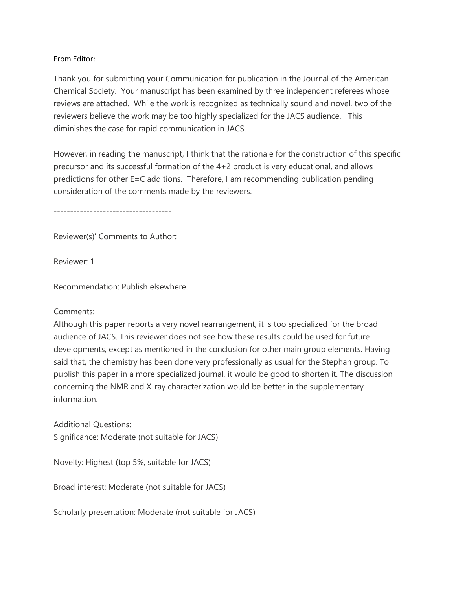## From Editor:

Thank you for submitting your Communication for publication in the Journal of the American Chemical Society. Your manuscript has been examined by three independent referees whose reviews are attached. While the work is recognized as technically sound and novel, two of the reviewers believe the work may be too highly specialized for the JACS audience. This diminishes the case for rapid communication in JACS.

However, in reading the manuscript, I think that the rationale for the construction of this specific precursor and its successful formation of the 4+2 product is very educational, and allows predictions for other E=C additions. Therefore, I am recommending publication pending consideration of the comments made by the reviewers.

------------------------------------

Reviewer(s)' Comments to Author:

Reviewer: 1

Recommendation: Publish elsewhere.

## Comments:

Although this paper reports a very novel rearrangement, it is too specialized for the broad audience of JACS. This reviewer does not see how these results could be used for future developments, except as mentioned in the conclusion for other main group elements. Having said that, the chemistry has been done very professionally as usual for the Stephan group. To publish this paper in a more specialized journal, it would be good to shorten it. The discussion concerning the NMR and X-ray characterization would be better in the supplementary information.

Additional Questions: Significance: Moderate (not suitable for JACS)

Novelty: Highest (top 5%, suitable for JACS)

Broad interest: Moderate (not suitable for JACS)

Scholarly presentation: Moderate (not suitable for JACS)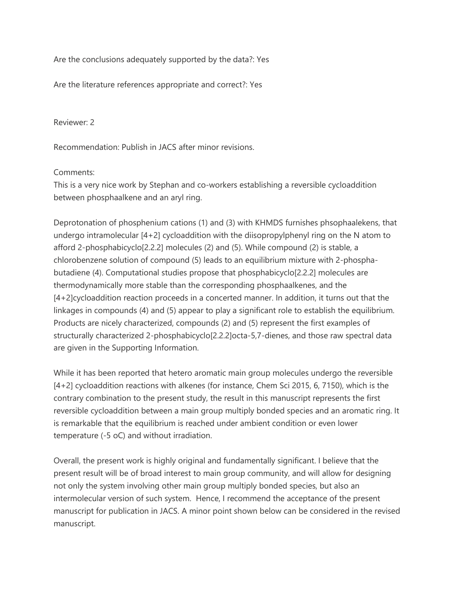Are the conclusions adequately supported by the data?: Yes

Are the literature references appropriate and correct?: Yes

Reviewer: 2

Recommendation: Publish in JACS after minor revisions.

## Comments:

This is a very nice work by Stephan and co-workers establishing a reversible cycloaddition between phosphaalkene and an aryl ring.

Deprotonation of phosphenium cations (1) and (3) with KHMDS furnishes phsophaalekens, that undergo intramolecular [4+2] cycloaddition with the diisopropylphenyl ring on the N atom to afford 2-phosphabicyclo[2.2.2] molecules (2) and (5). While compound (2) is stable, a chlorobenzene solution of compound (5) leads to an equilibrium mixture with 2-phosphabutadiene (4). Computational studies propose that phosphabicyclo[2.2.2] molecules are thermodynamically more stable than the corresponding phosphaalkenes, and the [4+2]cycloaddition reaction proceeds in a concerted manner. In addition, it turns out that the linkages in compounds (4) and (5) appear to play a significant role to establish the equilibrium. Products are nicely characterized, compounds (2) and (5) represent the first examples of structurally characterized 2-phosphabicyclo[2.2.2]octa-5,7-dienes, and those raw spectral data are given in the Supporting Information.

While it has been reported that hetero aromatic main group molecules undergo the reversible [4+2] cycloaddition reactions with alkenes (for instance, Chem Sci 2015, 6, 7150), which is the contrary combination to the present study, the result in this manuscript represents the first reversible cycloaddition between a main group multiply bonded species and an aromatic ring. It is remarkable that the equilibrium is reached under ambient condition or even lower temperature (-5 oC) and without irradiation.

Overall, the present work is highly original and fundamentally significant. I believe that the present result will be of broad interest to main group community, and will allow for designing not only the system involving other main group multiply bonded species, but also an intermolecular version of such system. Hence, I recommend the acceptance of the present manuscript for publication in JACS. A minor point shown below can be considered in the revised manuscript.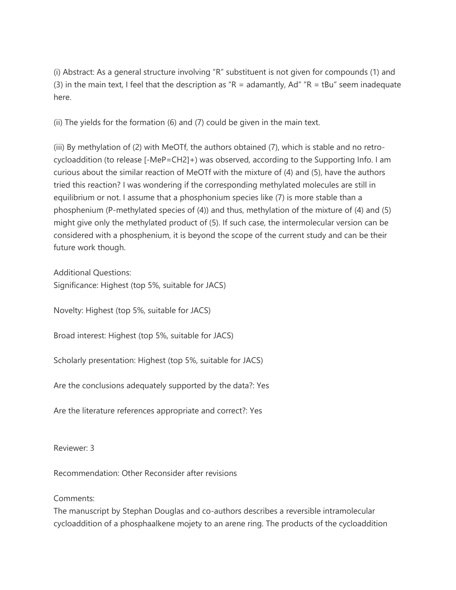(i) Abstract: As a general structure involving "R" substituent is not given for compounds (1) and (3) in the main text, I feel that the description as " $R =$  adamantly, Ad" " $R =$  tBu" seem inadequate here.

(ii) The yields for the formation (6) and (7) could be given in the main text.

(iii) By methylation of (2) with MeOTf, the authors obtained (7), which is stable and no retrocycloaddition (to release [-MeP=CH2]+) was observed, according to the Supporting Info. I am curious about the similar reaction of MeOTf with the mixture of (4) and (5), have the authors tried this reaction? I was wondering if the corresponding methylated molecules are still in equilibrium or not. I assume that a phosphonium species like (7) is more stable than a phosphenium (P-methylated species of (4)) and thus, methylation of the mixture of (4) and (5) might give only the methylated product of (5). If such case, the intermolecular version can be considered with a phosphenium, it is beyond the scope of the current study and can be their future work though.

Additional Questions: Significance: Highest (top 5%, suitable for JACS)

Novelty: Highest (top 5%, suitable for JACS)

Broad interest: Highest (top 5%, suitable for JACS)

Scholarly presentation: Highest (top 5%, suitable for JACS)

Are the conclusions adequately supported by the data?: Yes

Are the literature references appropriate and correct?: Yes

Reviewer: 3

Recommendation: Other Reconsider after revisions

Comments:

The manuscript by Stephan Douglas and co-authors describes a reversible intramolecular cycloaddition of a phosphaalkene mojety to an arene ring. The products of the cycloaddition